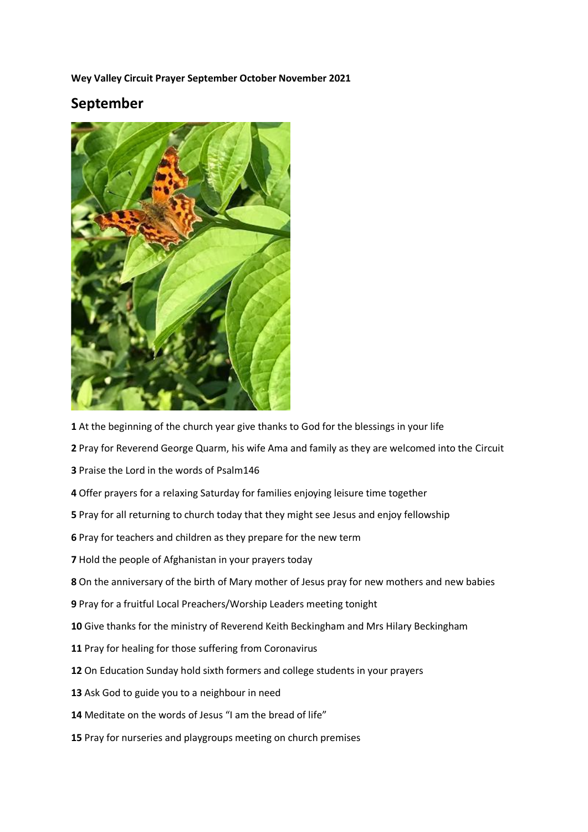**Wey Valley Circuit Prayer September October November 2021**

## **September**



At the beginning of the church year give thanks to God for the blessings in your life

Pray for Reverend George Quarm, his wife Ama and family as they are welcomed into the Circuit

Praise the Lord in the words of Psalm146

Offer prayers for a relaxing Saturday for families enjoying leisure time together

Pray for all returning to church today that they might see Jesus and enjoy fellowship

Pray for teachers and children as they prepare for the new term

Hold the people of Afghanistan in your prayers today

On the anniversary of the birth of Mary mother of Jesus pray for new mothers and new babies

Pray for a fruitful Local Preachers/Worship Leaders meeting tonight

Give thanks for the ministry of Reverend Keith Beckingham and Mrs Hilary Beckingham

Pray for healing for those suffering from Coronavirus

On Education Sunday hold sixth formers and college students in your prayers

Ask God to guide you to a neighbour in need

Meditate on the words of Jesus "I am the bread of life"

Pray for nurseries and playgroups meeting on church premises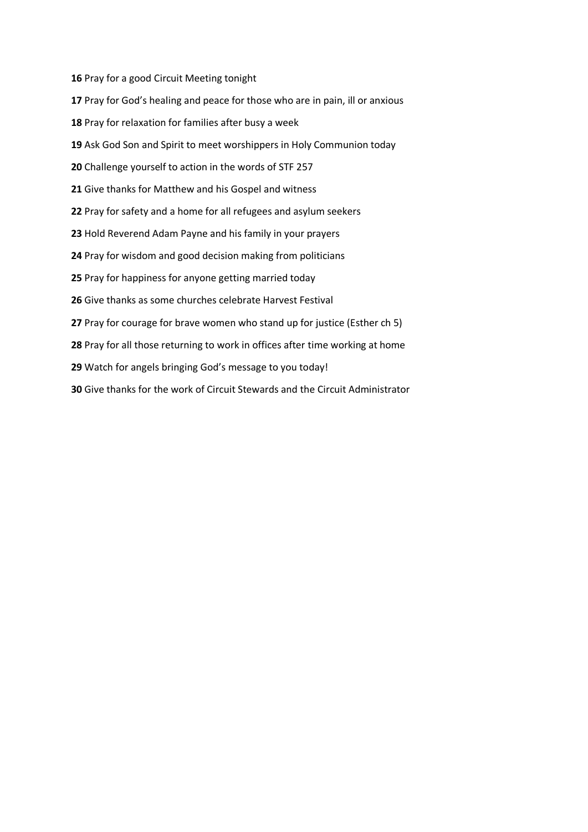Pray for a good Circuit Meeting tonight

- Pray for God's healing and peace for those who are in pain, ill or anxious
- Pray for relaxation for families after busy a week
- Ask God Son and Spirit to meet worshippers in Holy Communion today
- Challenge yourself to action in the words of STF 257
- Give thanks for Matthew and his Gospel and witness
- Pray for safety and a home for all refugees and asylum seekers
- Hold Reverend Adam Payne and his family in your prayers
- Pray for wisdom and good decision making from politicians
- Pray for happiness for anyone getting married today
- Give thanks as some churches celebrate Harvest Festival
- Pray for courage for brave women who stand up for justice (Esther ch 5)
- Pray for all those returning to work in offices after time working at home
- Watch for angels bringing God's message to you today!
- Give thanks for the work of Circuit Stewards and the Circuit Administrator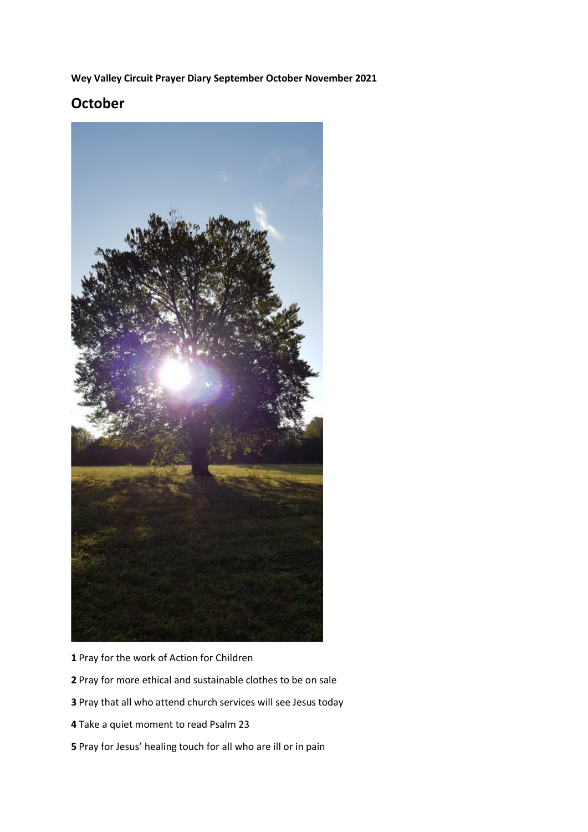**Wey Valley Circuit Prayer Diary September October November 2021**

## **October**



Pray for the work of Action for Children

- Pray for more ethical and sustainable clothes to be on sale
- Pray that all who attend church services will see Jesus today
- Take a quiet moment to read Psalm 23
- Pray for Jesus' healing touch for all who are ill or in pain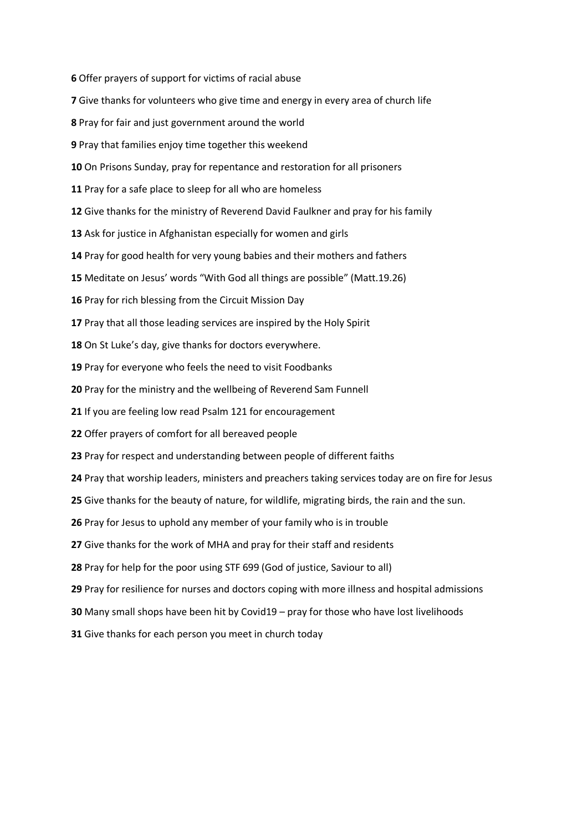Offer prayers of support for victims of racial abuse

- Give thanks for volunteers who give time and energy in every area of church life
- Pray for fair and just government around the world
- Pray that families enjoy time together this weekend
- On Prisons Sunday, pray for repentance and restoration for all prisoners
- Pray for a safe place to sleep for all who are homeless
- Give thanks for the ministry of Reverend David Faulkner and pray for his family
- Ask for justice in Afghanistan especially for women and girls
- Pray for good health for very young babies and their mothers and fathers
- Meditate on Jesus' words "With God all things are possible" (Matt.19.26)
- Pray for rich blessing from the Circuit Mission Day
- 17 Pray that all those leading services are inspired by the Holy Spirit
- On St Luke's day, give thanks for doctors everywhere.
- Pray for everyone who feels the need to visit Foodbanks
- Pray for the ministry and the wellbeing of Reverend Sam Funnell
- If you are feeling low read Psalm 121 for encouragement
- Offer prayers of comfort for all bereaved people
- Pray for respect and understanding between people of different faiths
- Pray that worship leaders, ministers and preachers taking services today are on fire for Jesus
- Give thanks for the beauty of nature, for wildlife, migrating birds, the rain and the sun.
- Pray for Jesus to uphold any member of your family who is in trouble
- Give thanks for the work of MHA and pray for their staff and residents
- Pray for help for the poor using STF 699 (God of justice, Saviour to all)
- Pray for resilience for nurses and doctors coping with more illness and hospital admissions
- Many small shops have been hit by Covid19 pray for those who have lost livelihoods
- Give thanks for each person you meet in church today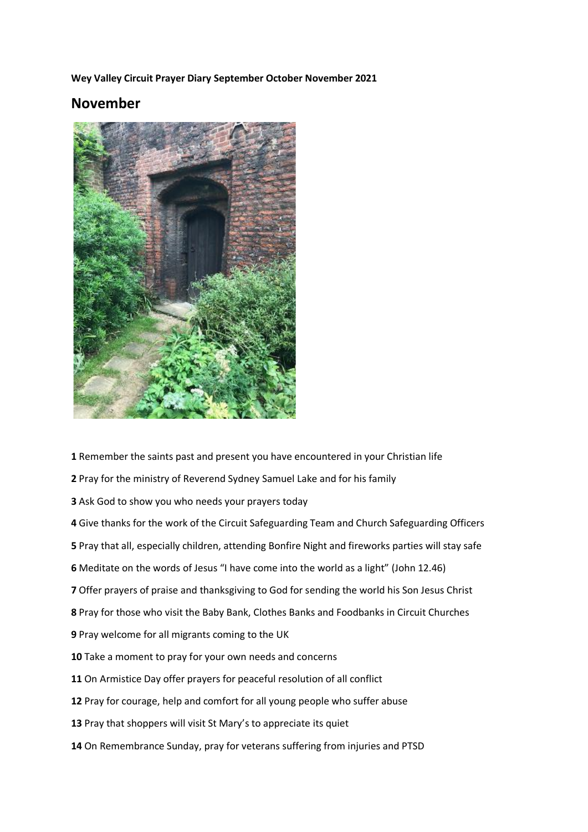**Wey Valley Circuit Prayer Diary September October November 2021**

## **November**



Remember the saints past and present you have encountered in your Christian life

- Pray for the ministry of Reverend Sydney Samuel Lake and for his family
- Ask God to show you who needs your prayers today
- Give thanks for the work of the Circuit Safeguarding Team and Church Safeguarding Officers
- Pray that all, especially children, attending Bonfire Night and fireworks parties will stay safe
- Meditate on the words of Jesus "I have come into the world as a light" (John 12.46)
- Offer prayers of praise and thanksgiving to God for sending the world his Son Jesus Christ
- Pray for those who visit the Baby Bank, Clothes Banks and Foodbanks in Circuit Churches
- Pray welcome for all migrants coming to the UK
- Take a moment to pray for your own needs and concerns
- On Armistice Day offer prayers for peaceful resolution of all conflict
- Pray for courage, help and comfort for all young people who suffer abuse
- 13 Pray that shoppers will visit St Mary's to appreciate its quiet
- On Remembrance Sunday, pray for veterans suffering from injuries and PTSD